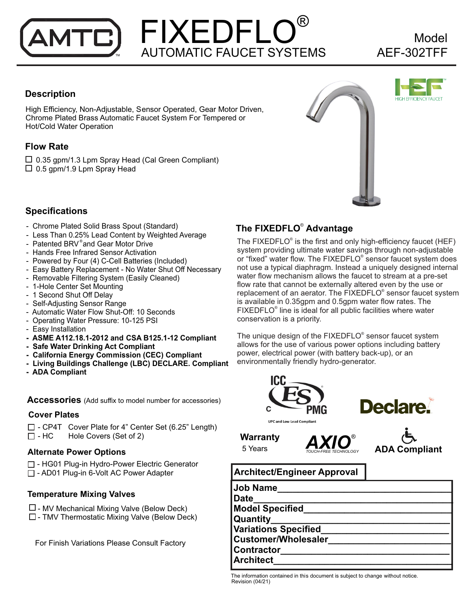# FIXEDFLO® AUTOMATIC FAUCET SYSTEMS ™ AEF-302TFF

# Model

### **Description**

High Efficiency, Non-Adjustable, Sensor Operated, Gear Motor Driven, Chrome Plated Brass Automatic Faucet System For Tempered or Hot/Cold Water Operation

#### **Flow Rate**

 $\Box$  0.35 gpm/1.3 Lpm Spray Head (Cal Green Compliant)  $\Box$  0.5 gpm/1.9 Lpm Spray Head





### **Specifications**

- Chrome Plated Solid Brass Spout (Standard)
- Less Than 0.25% Lead Content by Weighted Average
- Patented BRV®and Gear Motor Drive
- Hands Free Infrared Sensor Activation
- Powered by Four (4) C-Cell Batteries (Included)
- Easy Battery Replacement No Water Shut Off Necessary
- Removable Filtering System (Easily Cleaned)
- 1-Hole Center Set Mounting
- 1 Second Shut Off Delay
- Self-Adjusting Sensor Range
- Automatic Water Flow Shut-Off: 10 Seconds
- Operating Water Pressure: 10-125 PSI
- Easy Installation
- **ASME A112.18.1-2012 and CSA B125.1-12 Compliant**
- **Safe Water Drinking Act Compliant**
- **California Energy Commission (CEC) Compliant**
- **Living Buildings Challenge (LBC) DECLARE. Compliant**
- **ADA Compliant**

**Accessories** (Add suffix to model number for accessories)

#### **Cover Plates**

 $\Box$  - CP4T Cover Plate for 4" Center Set (6.25" Length)  $\Box$  - HC Hole Covers (Set of 2)

#### **Alternate Power Options**

- □ HG01 Plug-in Hydro-Power Electric Generator
- □ AD01 Plug-in 6-Volt AC Power Adapter

#### **Temperature Mixing Valves**

- $\Box$  MV Mechanical Mixing Valve (Below Deck)
- $\square$  TMV Thermostatic Mixing Valve (Below Deck)

For Finish Variations Please Consult Factory

## **The FIXEDFLO<sup>®</sup> Advantage**

The FIXEDFLO $\textdegree$  is the first and only high-efficiency faucet (HEF) system providing ultimate water savings through non-adjustable or "fixed" water flow. The FIXEDFLO® sensor faucet system does not use a typical diaphragm. Instead a uniquely designed internal water flow mechanism allows the faucet to stream at a pre-set flow rate that cannot be externally altered even by the use or replacement of an aerator. The FIXEDFLO<sup>®</sup> sensor faucet system is available in 0.35gpm and 0.5gpm water flow rates. The FIXEDFLO<sup>®</sup> line is ideal for all public facilities where water conservation is a priority.

The unique design of the FIXEDFLO<sup>®</sup> sensor faucet system allows for the use of various power options including battery power, electrical power (with battery back-up), or an environmentally friendly hydro-generator.





**Warranty**  5 Years



## **Architect/Engineer Approval**

| <b>Job Name</b>             |  |
|-----------------------------|--|
| <b>Date</b>                 |  |
| <b>Model Specified</b>      |  |
| Quantity                    |  |
| <b>Variations Specified</b> |  |
| <b>Customer/Wholesaler</b>  |  |
| <b>Contractor</b>           |  |
| <b>Architect</b>            |  |

The information contained in this document is subject to change without notice. Revision (04/21)